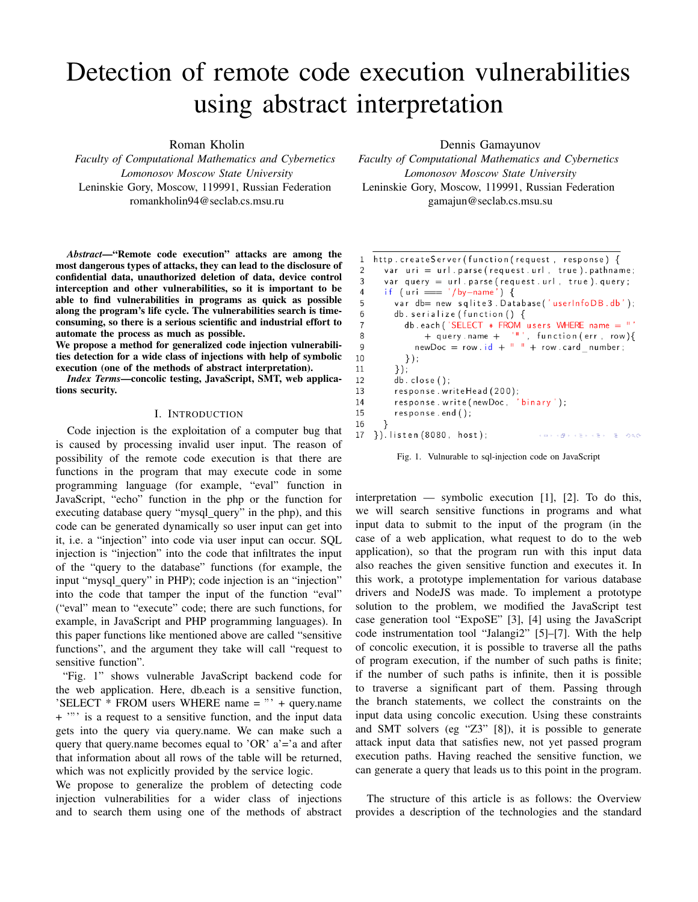# Detection of remote code execution vulnerabilities using abstract interpretation

Roman Kholin

*Faculty of Computational Mathematics and Cybernetics Lomonosov Moscow State University* Leninskie Gory, Moscow, 119991, Russian Federation romankholin94@seclab.cs.msu.ru

*Abstract*—"Remote code execution" attacks are among the most dangerous types of attacks, they can lead to the disclosure of confidential data, unauthorized deletion of data, device control interception and other vulnerabilities, so it is important to be able to find vulnerabilities in programs as quick as possible along the program's life cycle. The vulnerabilities search is timeconsuming, so there is a serious scientific and industrial effort to automate the process as much as possible.

We propose a method for generalized code injection vulnerabilities detection for a wide class of injections with help of symbolic execution (one of the methods of abstract interpretation).

*Index Terms*—concolic testing, JavaScript, SMT, web applications security.

## I. INTRODUCTION

Code injection is the exploitation of a computer bug that is caused by processing invalid user input. The reason of possibility of the remote code execution is that there are functions in the program that may execute code in some programming language (for example, "eval" function in JavaScript, "echo" function in the php or the function for executing database query "mysql\_query" in the php), and this code can be generated dynamically so user input can get into it, i.e. a "injection" into code via user input can occur. SQL injection is "injection" into the code that infiltrates the input of the "query to the database" functions (for example, the input "mysql\_query" in PHP); code injection is an "injection" into the code that tamper the input of the function "eval" ("eval" mean to "execute" code; there are such functions, for example, in JavaScript and PHP programming languages). In this paper functions like mentioned above are called "sensitive functions", and the argument they take will call "request to sensitive function".

"Fig. 1" shows vulnerable JavaScript backend code for the web application. Here, db.each is a sensitive function, 'SELECT  $*$  FROM users WHERE name =  $"$  + query.name + '"' is a request to a sensitive function, and the input data gets into the query via query.name. We can make such a query that query.name becomes equal to 'OR'  $a' = a$  and after that information about all rows of the table will be returned, which was not explicitly provided by the service logic.

We propose to generalize the problem of detecting code injection vulnerabilities for a wider class of injections and to search them using one of the methods of abstract Dennis Gamayunov

*Faculty of Computational Mathematics and Cybernetics Lomonosov Moscow State University* Leninskie Gory, Moscow, 119991, Russian Federation gamajun@seclab.cs.msu.su

| 1  | http.createServer(function(request, response) {       |  |  |
|----|-------------------------------------------------------|--|--|
| 2  | var $uri = url.parse(request.url, true).pathname;$    |  |  |
| 3  | var query $=$ url. parse (request. url, true). query; |  |  |
| 4  | if (uri === '/by-name') {                             |  |  |
| 5  | var db= new sqlite3. Database('userInfoDB.db');       |  |  |
| 6  | db. serialize (function $() \{$                       |  |  |
| 7  | db.each ('SELECT $*$ FROM users WHERE name $=$ "      |  |  |
| 8  | + query.name + $'$ "', function (err, row) {          |  |  |
| 9  | newDoc = row.id + $\vert$ $\vert$ + row.card number;  |  |  |
| 10 | $\}$ );                                               |  |  |
| 11 | $\}$ :                                                |  |  |
| 12 | db. close()                                           |  |  |
| 13 | response.writeHead(200);                              |  |  |
| 14 | response.write(newDoc, 'binary');                     |  |  |
| 15 | $response. end()$ ;                                   |  |  |
| 16 | ⇂                                                     |  |  |
| 17 | $\}$ ). listen (8080, host);<br>イロメ (部) イミメイミメーミー りなび |  |  |

Fig. 1. Vulnurable to sql-injection code on JavaScript

interpretation — symbolic execution [1], [2]. To do this, we will search sensitive functions in programs and what input data to submit to the input of the program (in the case of a web application, what request to do to the web application), so that the program run with this input data also reaches the given sensitive function and executes it. In this work, a prototype implementation for various database drivers and NodeJS was made. To implement a prototype solution to the problem, we modified the JavaScript test case generation tool "ExpoSE" [3], [4] using the JavaScript code instrumentation tool "Jalangi2" [5]–[7]. With the help of concolic execution, it is possible to traverse all the paths of program execution, if the number of such paths is finite; if the number of such paths is infinite, then it is possible to traverse a significant part of them. Passing through the branch statements, we collect the constraints on the input data using concolic execution. Using these constraints and SMT solvers (eg "Z3" [8]), it is possible to generate attack input data that satisfies new, not yet passed program execution paths. Having reached the sensitive function, we can generate a query that leads us to this point in the program.

The structure of this article is as follows: the Overview provides a description of the technologies and the standard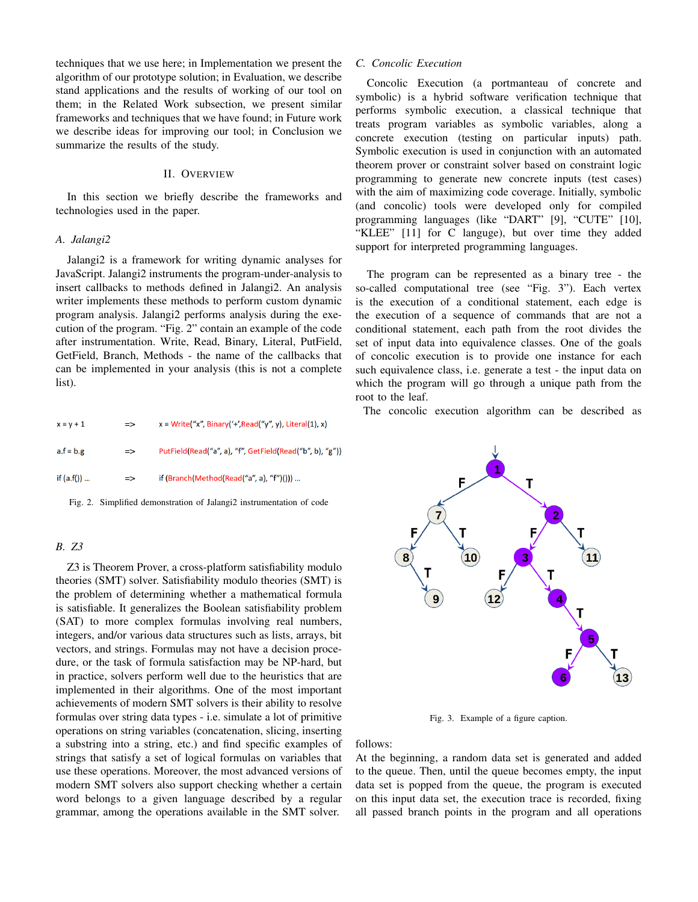techniques that we use here; in Implementation we present the algorithm of our prototype solution; in Evaluation, we describe stand applications and the results of working of our tool on them; in the Related Work subsection, we present similar frameworks and techniques that we have found; in Future work we describe ideas for improving our tool; in Conclusion we summarize the results of the study.

## II. OVERVIEW

In this section we briefly describe the frameworks and technologies used in the paper.

### *A. Jalangi2*

Jalangi2 is a framework for writing dynamic analyses for JavaScript. Jalangi2 instruments the program-under-analysis to insert callbacks to methods defined in Jalangi2. An analysis writer implements these methods to perform custom dynamic program analysis. Jalangi2 performs analysis during the execution of the program. "Fig. 2" contain an example of the code after instrumentation. Write, Read, Binary, Literal, PutField, GetField, Branch, Methods - the name of the callbacks that can be implemented in your analysis (this is not a complete list).

| $x = v + 1$  | $\Rightarrow$ | $x = Write("x", Binary('+/Read("y", y), Literal(1), x)$  |
|--------------|---------------|----------------------------------------------------------|
| $a.f = b.g$  | $\Rightarrow$ | PutField(Read("a", a), "f", GetField(Read("b", b), "g")) |
| if $(a.f())$ | $\Rightarrow$ | if (Branch(Method(Read("a", a), "f")()))                 |

Fig. 2. Simplified demonstration of Jalangi2 instrumentation of code

# *B. Z3*

Z3 is Theorem Prover, a cross-platform satisfiability modulo theories (SMT) solver. Satisfiability modulo theories (SMT) is the problem of determining whether a mathematical formula is satisfiable. It generalizes the Boolean satisfiability problem (SAT) to more complex formulas involving real numbers, integers, and/or various data structures such as lists, arrays, bit vectors, and strings. Formulas may not have a decision procedure, or the task of formula satisfaction may be NP-hard, but in practice, solvers perform well due to the heuristics that are implemented in their algorithms. One of the most important achievements of modern SMT solvers is their ability to resolve formulas over string data types - i.e. simulate a lot of primitive operations on string variables (concatenation, slicing, inserting a substring into a string, etc.) and find specific examples of strings that satisfy a set of logical formulas on variables that use these operations. Moreover, the most advanced versions of modern SMT solvers also support checking whether a certain word belongs to a given language described by a regular grammar, among the operations available in the SMT solver.

# *C. Concolic Execution*

Concolic Execution (a portmanteau of concrete and symbolic) is a hybrid software verification technique that performs symbolic execution, a classical technique that treats program variables as symbolic variables, along a concrete execution (testing on particular inputs) path. Symbolic execution is used in conjunction with an automated theorem prover or constraint solver based on constraint logic programming to generate new concrete inputs (test cases) with the aim of maximizing code coverage. Initially, symbolic (and concolic) tools were developed only for compiled programming languages (like "DART" [9], "CUTE" [10], "KLEE" [11] for C languge), but over time they added support for interpreted programming languages.

The program can be represented as a binary tree - the so-called computational tree (see "Fig. 3"). Each vertex is the execution of a conditional statement, each edge is the execution of a sequence of commands that are not a conditional statement, each path from the root divides the set of input data into equivalence classes. One of the goals of concolic execution is to provide one instance for each such equivalence class, i.e. generate a test - the input data on which the program will go through a unique path from the root to the leaf.

The concolic execution algorithm can be described as



Fig. 3. Example of a figure caption.

follows:

At the beginning, a random data set is generated and added to the queue. Then, until the queue becomes empty, the input data set is popped from the queue, the program is executed on this input data set, the execution trace is recorded, fixing all passed branch points in the program and all operations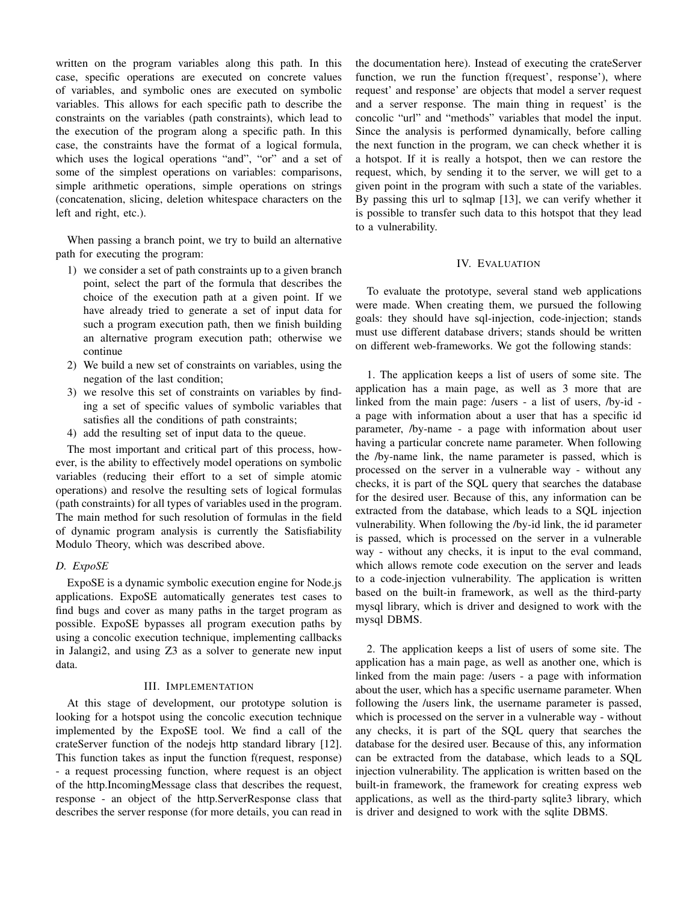written on the program variables along this path. In this case, specific operations are executed on concrete values of variables, and symbolic ones are executed on symbolic variables. This allows for each specific path to describe the constraints on the variables (path constraints), which lead to the execution of the program along a specific path. In this case, the constraints have the format of a logical formula, which uses the logical operations "and", "or" and a set of some of the simplest operations on variables: comparisons, simple arithmetic operations, simple operations on strings (concatenation, slicing, deletion whitespace characters on the left and right, etc.).

When passing a branch point, we try to build an alternative path for executing the program:

- 1) we consider a set of path constraints up to a given branch point, select the part of the formula that describes the choice of the execution path at a given point. If we have already tried to generate a set of input data for such a program execution path, then we finish building an alternative program execution path; otherwise we continue
- 2) We build a new set of constraints on variables, using the negation of the last condition;
- 3) we resolve this set of constraints on variables by finding a set of specific values of symbolic variables that satisfies all the conditions of path constraints;
- 4) add the resulting set of input data to the queue.

The most important and critical part of this process, however, is the ability to effectively model operations on symbolic variables (reducing their effort to a set of simple atomic operations) and resolve the resulting sets of logical formulas (path constraints) for all types of variables used in the program. The main method for such resolution of formulas in the field of dynamic program analysis is currently the Satisfiability Modulo Theory, which was described above.

# *D. ExpoSE*

ExpoSE is a dynamic symbolic execution engine for Node.js applications. ExpoSE automatically generates test cases to find bugs and cover as many paths in the target program as possible. ExpoSE bypasses all program execution paths by using a concolic execution technique, implementing callbacks in Jalangi2, and using Z3 as a solver to generate new input data.

## III. IMPLEMENTATION

At this stage of development, our prototype solution is looking for a hotspot using the concolic execution technique implemented by the ExpoSE tool. We find a call of the crateServer function of the nodejs http standard library [12]. This function takes as input the function f(request, response) - a request processing function, where request is an object of the http.IncomingMessage class that describes the request, response - an object of the http.ServerResponse class that describes the server response (for more details, you can read in the documentation here). Instead of executing the crateServer function, we run the function f(request', response'), where request' and response' are objects that model a server request and a server response. The main thing in request' is the concolic "url" and "methods" variables that model the input. Since the analysis is performed dynamically, before calling the next function in the program, we can check whether it is a hotspot. If it is really a hotspot, then we can restore the request, which, by sending it to the server, we will get to a given point in the program with such a state of the variables. By passing this url to sqlmap [13], we can verify whether it is possible to transfer such data to this hotspot that they lead to a vulnerability.

## IV. EVALUATION

To evaluate the prototype, several stand web applications were made. When creating them, we pursued the following goals: they should have sql-injection, code-injection; stands must use different database drivers; stands should be written on different web-frameworks. We got the following stands:

1. The application keeps a list of users of some site. The application has a main page, as well as 3 more that are linked from the main page: /users - a list of users, /by-id a page with information about a user that has a specific id parameter, /by-name - a page with information about user having a particular concrete name parameter. When following the /by-name link, the name parameter is passed, which is processed on the server in a vulnerable way - without any checks, it is part of the SQL query that searches the database for the desired user. Because of this, any information can be extracted from the database, which leads to a SQL injection vulnerability. When following the /by-id link, the id parameter is passed, which is processed on the server in a vulnerable way - without any checks, it is input to the eval command, which allows remote code execution on the server and leads to a code-injection vulnerability. The application is written based on the built-in framework, as well as the third-party mysql library, which is driver and designed to work with the mysql DBMS.

2. The application keeps a list of users of some site. The application has a main page, as well as another one, which is linked from the main page: /users - a page with information about the user, which has a specific username parameter. When following the /users link, the username parameter is passed, which is processed on the server in a vulnerable way - without any checks, it is part of the SQL query that searches the database for the desired user. Because of this, any information can be extracted from the database, which leads to a SQL injection vulnerability. The application is written based on the built-in framework, the framework for creating express web applications, as well as the third-party sqlite3 library, which is driver and designed to work with the sqlite DBMS.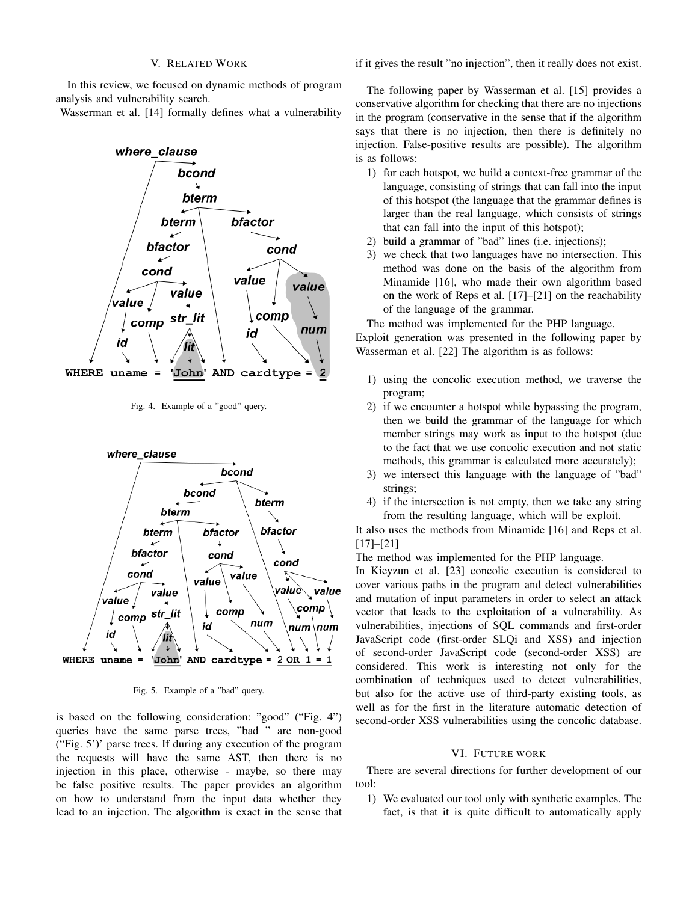In this review, we focused on dynamic methods of program analysis and vulnerability search.

Wasserman et al. [14] formally defines what a vulnerability



Fig. 4. Example of a "good" query.



Fig. 5. Example of a "bad" query.

is based on the following consideration: "good" ("Fig. 4") queries have the same parse trees, "bad " are non-good ("Fig. 5')' parse trees. If during any execution of the program the requests will have the same AST, then there is no injection in this place, otherwise - maybe, so there may be false positive results. The paper provides an algorithm on how to understand from the input data whether they lead to an injection. The algorithm is exact in the sense that if it gives the result "no injection", then it really does not exist.

The following paper by Wasserman et al. [15] provides a conservative algorithm for checking that there are no injections in the program (conservative in the sense that if the algorithm says that there is no injection, then there is definitely no injection. False-positive results are possible). The algorithm is as follows:

- 1) for each hotspot, we build a context-free grammar of the language, consisting of strings that can fall into the input of this hotspot (the language that the grammar defines is larger than the real language, which consists of strings that can fall into the input of this hotspot);
- 2) build a grammar of "bad" lines (i.e. injections);
- 3) we check that two languages have no intersection. This method was done on the basis of the algorithm from Minamide [16], who made their own algorithm based on the work of Reps et al. [17]–[21] on the reachability of the language of the grammar.

The method was implemented for the PHP language. Exploit generation was presented in the following paper by Wasserman et al. [22] The algorithm is as follows:

- 1) using the concolic execution method, we traverse the program;
- 2) if we encounter a hotspot while bypassing the program, then we build the grammar of the language for which member strings may work as input to the hotspot (due to the fact that we use concolic execution and not static methods, this grammar is calculated more accurately);
- 3) we intersect this language with the language of "bad" strings;
- 4) if the intersection is not empty, then we take any string from the resulting language, which will be exploit.

It also uses the methods from Minamide [16] and Reps et al. [17]–[21]

The method was implemented for the PHP language.

In Kieyzun et al. [23] concolic execution is considered to cover various paths in the program and detect vulnerabilities and mutation of input parameters in order to select an attack vector that leads to the exploitation of a vulnerability. As vulnerabilities, injections of SQL commands and first-order JavaScript code (first-order SLQi and XSS) and injection of second-order JavaScript code (second-order XSS) are considered. This work is interesting not only for the combination of techniques used to detect vulnerabilities, but also for the active use of third-party existing tools, as well as for the first in the literature automatic detection of second-order XSS vulnerabilities using the concolic database.

## VI. FUTURE WORK

There are several directions for further development of our tool:

1) We evaluated our tool only with synthetic examples. The fact, is that it is quite difficult to automatically apply